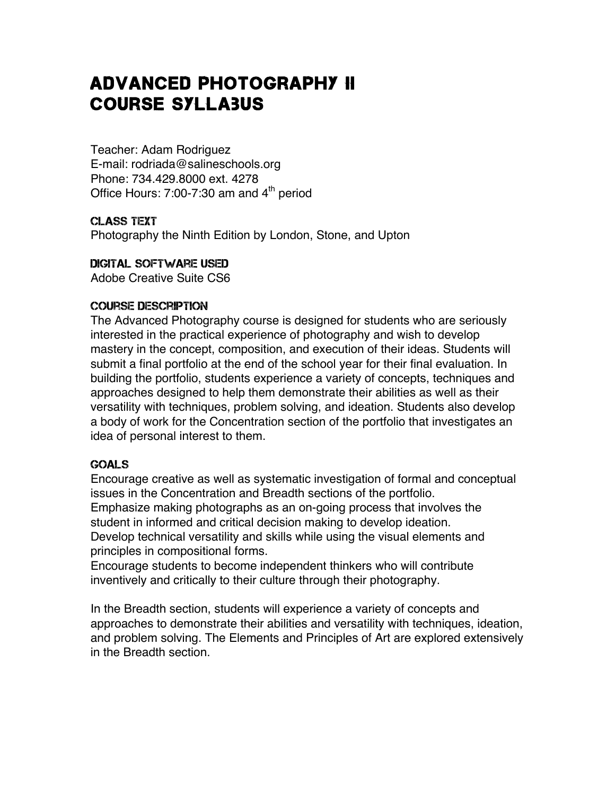# Advanced Photography II Course Syllabus

Teacher: Adam Rodriguez E-mail: rodriada@salineschools.org Phone: 734.429.8000 ext. 4278 Office Hours:  $7:00-7:30$  am and  $4<sup>th</sup>$  period

#### Class text Photography the Ninth Edition by London, Stone, and Upton

## Digital Software Used

Adobe Creative Suite CS6

# Course Description

The Advanced Photography course is designed for students who are seriously interested in the practical experience of photography and wish to develop mastery in the concept, composition, and execution of their ideas. Students will submit a final portfolio at the end of the school year for their final evaluation. In building the portfolio, students experience a variety of concepts, techniques and approaches designed to help them demonstrate their abilities as well as their versatility with techniques, problem solving, and ideation. Students also develop a body of work for the Concentration section of the portfolio that investigates an idea of personal interest to them.

# Goals

Encourage creative as well as systematic investigation of formal and conceptual issues in the Concentration and Breadth sections of the portfolio. Emphasize making photographs as an on-going process that involves the student in informed and critical decision making to develop ideation. Develop technical versatility and skills while using the visual elements and principles in compositional forms.

Encourage students to become independent thinkers who will contribute inventively and critically to their culture through their photography.

In the Breadth section, students will experience a variety of concepts and approaches to demonstrate their abilities and versatility with techniques, ideation, and problem solving. The Elements and Principles of Art are explored extensively in the Breadth section.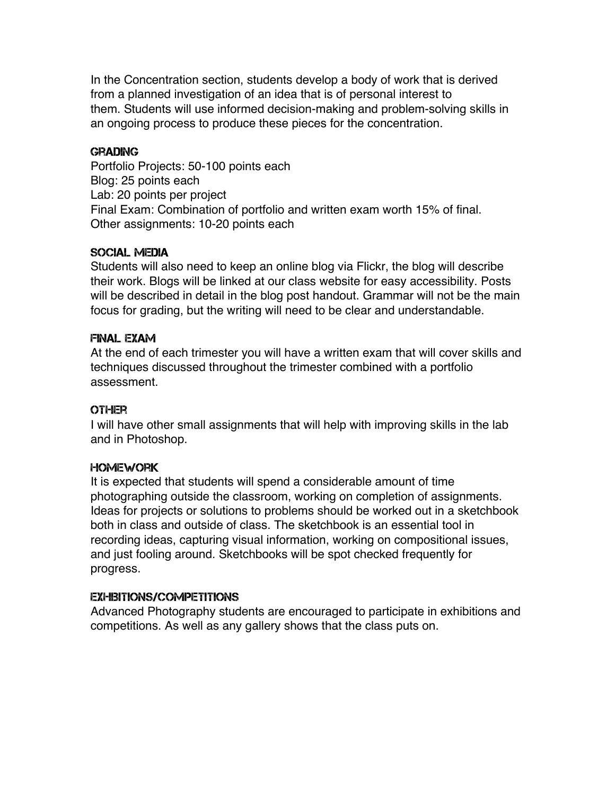In the Concentration section, students develop a body of work that is derived from a planned investigation of an idea that is of personal interest to them. Students will use informed decision-making and problem-solving skills in an ongoing process to produce these pieces for the concentration.

## **GRADING**

Portfolio Projects: 50-100 points each Blog: 25 points each Lab: 20 points per project Final Exam: Combination of portfolio and written exam worth 15% of final. Other assignments: 10-20 points each

#### Social Media

Students will also need to keep an online blog via Flickr, the blog will describe their work. Blogs will be linked at our class website for easy accessibility. Posts will be described in detail in the blog post handout. Grammar will not be the main focus for grading, but the writing will need to be clear and understandable.

#### Final Exam

At the end of each trimester you will have a written exam that will cover skills and techniques discussed throughout the trimester combined with a portfolio assessment.

## **OTHER**

I will have other small assignments that will help with improving skills in the lab and in Photoshop.

#### **HOMEWORK**

It is expected that students will spend a considerable amount of time photographing outside the classroom, working on completion of assignments. Ideas for projects or solutions to problems should be worked out in a sketchbook both in class and outside of class. The sketchbook is an essential tool in recording ideas, capturing visual information, working on compositional issues, and just fooling around. Sketchbooks will be spot checked frequently for progress.

#### Exhibitions/Competitions

Advanced Photography students are encouraged to participate in exhibitions and competitions. As well as any gallery shows that the class puts on.